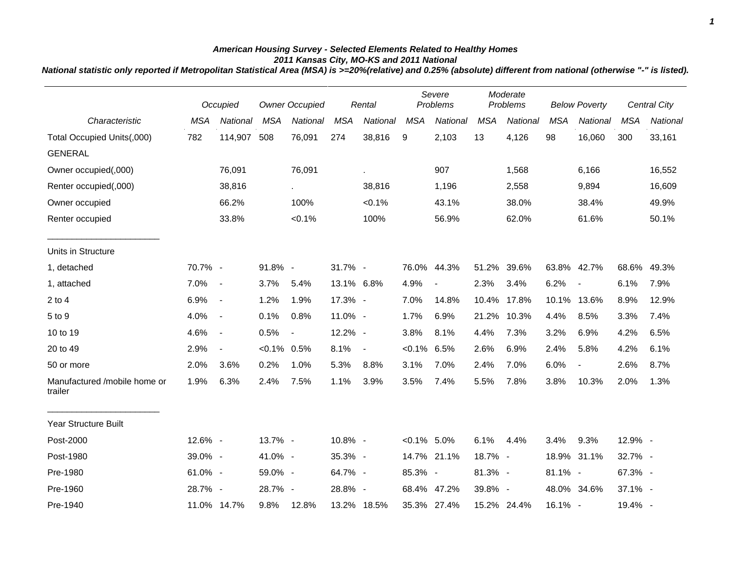## *American Housing Survey - Selected Elements Related to Healthy Homes 2011 Kansas City, MO-KS and 2011 National*

*National statistic only reported if Metropolitan Statistical Area (MSA) is >=20%(relative) and 0.25% (absolute) different from national (otherwise "-" is listed).*

|                                         |            | Occupied                 |            | <b>Owner Occupied</b>    |            | Rental         |                | Severe<br>Problems |            | Moderate<br>Problems |            | <b>Below Poverty</b>     |            | <b>Central City</b> |  |
|-----------------------------------------|------------|--------------------------|------------|--------------------------|------------|----------------|----------------|--------------------|------------|----------------------|------------|--------------------------|------------|---------------------|--|
| Characteristic                          | <b>MSA</b> | National                 | <b>MSA</b> | National                 | <b>MSA</b> | National       | <b>MSA</b>     | National           | <b>MSA</b> | National             | <b>MSA</b> | National                 | <b>MSA</b> | National            |  |
| Total Occupied Units(,000)              | 782        | 114,907                  | 508        | 76,091                   | 274        | 38,816         | 9              | 2,103              | 13         | 4,126                | 98         | 16,060                   | 300        | 33,161              |  |
| <b>GENERAL</b>                          |            |                          |            |                          |            |                |                |                    |            |                      |            |                          |            |                     |  |
| Owner occupied(,000)                    |            | 76,091                   |            | 76,091                   |            |                |                | 907                |            | 1,568                |            | 6,166                    |            | 16,552              |  |
| Renter occupied(,000)                   |            | 38,816                   |            |                          |            | 38,816         |                | 1,196              |            | 2,558                |            | 9,894                    |            | 16,609              |  |
| Owner occupied                          |            | 66.2%                    |            | 100%                     |            | $< 0.1\%$      |                | 43.1%              |            | 38.0%                |            | 38.4%                    |            | 49.9%               |  |
| Renter occupied                         |            | 33.8%                    |            | $< 0.1\%$                |            | 100%           |                | 56.9%              |            | 62.0%                |            | 61.6%                    |            | 50.1%               |  |
| Units in Structure                      |            |                          |            |                          |            |                |                |                    |            |                      |            |                          |            |                     |  |
| 1, detached                             | 70.7% -    |                          | 91.8% -    |                          | 31.7% -    |                | 76.0%          | 44.3%              |            | 51.2% 39.6%          |            | 63.8% 42.7%              | 68.6%      | 49.3%               |  |
| 1, attached                             | 7.0%       | $\sim$ $-$               | 3.7%       | 5.4%                     | 13.1% 6.8% |                | 4.9%           | $\blacksquare$     | 2.3%       | 3.4%                 | 6.2%       | $\blacksquare$           | 6.1%       | 7.9%                |  |
| $2$ to $4$                              | 6.9%       | $\sim$                   | 1.2%       | 1.9%                     | 17.3% -    |                | 7.0%           | 14.8%              | 10.4%      | 17.8%                |            | 10.1% 13.6%              | 8.9%       | 12.9%               |  |
| 5 to 9                                  | 4.0%       | $\sim$                   | 0.1%       | 0.8%                     | 11.0% -    |                | 1.7%           | 6.9%               | 21.2%      | 10.3%                | 4.4%       | 8.5%                     | 3.3%       | 7.4%                |  |
| 10 to 19                                | 4.6%       | $\overline{\phantom{a}}$ | 0.5%       | $\overline{\phantom{a}}$ | 12.2% -    |                | 3.8%           | 8.1%               | 4.4%       | 7.3%                 | 3.2%       | 6.9%                     | 4.2%       | 6.5%                |  |
| 20 to 49                                | 2.9%       | $\overline{\phantom{a}}$ | $< 0.1\%$  | 0.5%                     | 8.1%       | $\blacksquare$ | $< 0.1\%$ 6.5% |                    | 2.6%       | 6.9%                 | 2.4%       | 5.8%                     | 4.2%       | 6.1%                |  |
| 50 or more                              | 2.0%       | 3.6%                     | 0.2%       | 1.0%                     | 5.3%       | 8.8%           | 3.1%           | 7.0%               | 2.4%       | 7.0%                 | 6.0%       | $\overline{\phantom{a}}$ | 2.6%       | 8.7%                |  |
| Manufactured /mobile home or<br>trailer | 1.9%       | 6.3%                     | 2.4%       | 7.5%                     | 1.1%       | 3.9%           | 3.5%           | 7.4%               | 5.5%       | 7.8%                 | 3.8%       | 10.3%                    | 2.0%       | 1.3%                |  |
| Year Structure Built                    |            |                          |            |                          |            |                |                |                    |            |                      |            |                          |            |                     |  |
| Post-2000                               | 12.6% -    |                          | 13.7% -    |                          | 10.8% -    |                | $< 0.1\%$ 5.0% |                    | 6.1%       | 4.4%                 | 3.4%       | 9.3%                     | 12.9% -    |                     |  |
| Post-1980                               | 39.0% -    |                          | 41.0% -    |                          | 35.3% -    |                |                | 14.7% 21.1%        | 18.7% -    |                      |            | 18.9% 31.1%              | 32.7% -    |                     |  |
| Pre-1980                                | 61.0% -    |                          | 59.0% -    |                          | 64.7% -    |                | 85.3% -        |                    | 81.3% -    |                      | 81.1% -    |                          | 67.3% -    |                     |  |
| Pre-1960                                | 28.7% -    |                          | 28.7% -    |                          | 28.8% -    |                |                | 68.4% 47.2%        | 39.8% -    |                      |            | 48.0% 34.6%              | 37.1% -    |                     |  |
| Pre-1940                                |            | 11.0% 14.7%              | 9.8%       | 12.8%                    |            | 13.2% 18.5%    |                | 35.3% 27.4%        |            | 15.2% 24.4%          | 16.1% -    |                          | 19.4% -    |                     |  |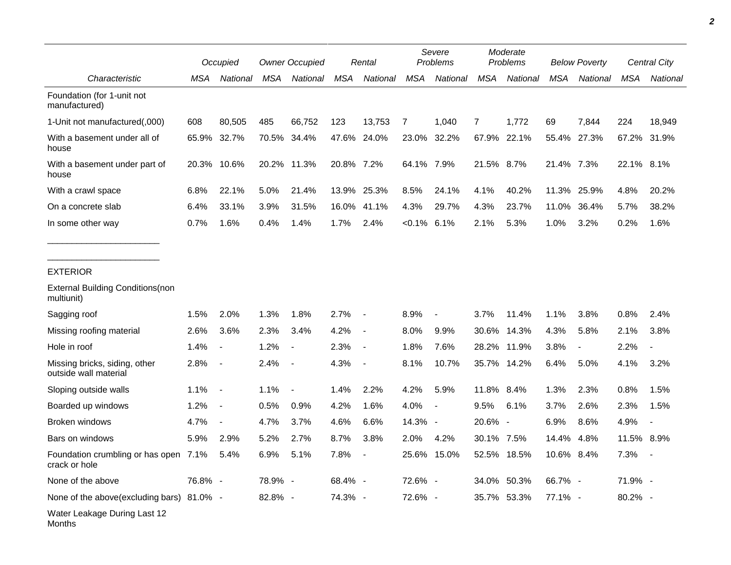|                                                        | Occupied |                          | <b>Owner Occupied</b> |                | Rental     |                          | Severe<br>Problems |          | Moderate<br>Problems |             | <b>Below Poverty</b> |                          | Central City |          |
|--------------------------------------------------------|----------|--------------------------|-----------------------|----------------|------------|--------------------------|--------------------|----------|----------------------|-------------|----------------------|--------------------------|--------------|----------|
| Characteristic                                         | MSA      | National                 | MSA                   | National       | <b>MSA</b> | National                 | <b>MSA</b>         | National | <b>MSA</b>           | National    | <b>MSA</b>           | National                 | <b>MSA</b>   | National |
| Foundation (for 1-unit not<br>manufactured)            |          |                          |                       |                |            |                          |                    |          |                      |             |                      |                          |              |          |
| 1-Unit not manufactured(,000)                          | 608      | 80,505                   | 485                   | 66,752         | 123        | 13,753                   | 7                  | 1,040    | 7                    | 1,772       | 69                   | 7,844                    | 224          | 18,949   |
| With a basement under all of<br>house                  | 65.9%    | 32.7%                    |                       | 70.5% 34.4%    |            | 47.6% 24.0%              | 23.0%              | 32.2%    |                      | 67.9% 22.1% | 55.4%                | 27.3%                    | 67.2%        | 31.9%    |
| With a basement under part of<br>house                 | 20.3%    | 10.6%                    |                       | 20.2% 11.3%    | 20.8% 7.2% |                          | 64.1% 7.9%         |          | 21.5% 8.7%           |             | 21.4% 7.3%           |                          | 22.1%        | 8.1%     |
| With a crawl space                                     | 6.8%     | 22.1%                    | 5.0%                  | 21.4%          | 13.9%      | 25.3%                    | 8.5%               | 24.1%    | 4.1%                 | 40.2%       | 11.3%                | 25.9%                    | 4.8%         | 20.2%    |
| On a concrete slab                                     | 6.4%     | 33.1%                    | 3.9%                  | 31.5%          | 16.0%      | 41.1%                    | 4.3%               | 29.7%    | 4.3%                 | 23.7%       | 11.0%                | 36.4%                    | 5.7%         | 38.2%    |
| In some other way                                      | 0.7%     | 1.6%                     | 0.4%                  | 1.4%           | 1.7%       | 2.4%                     | $< 0.1\%$ 6.1%     |          | 2.1%                 | 5.3%        | 1.0%                 | 3.2%                     | 0.2%         | 1.6%     |
| <b>EXTERIOR</b>                                        |          |                          |                       |                |            |                          |                    |          |                      |             |                      |                          |              |          |
| <b>External Building Conditions (non</b><br>multiunit) |          |                          |                       |                |            |                          |                    |          |                      |             |                      |                          |              |          |
| Sagging roof                                           | 1.5%     | 2.0%                     | 1.3%                  | 1.8%           | 2.7%       | $\overline{\phantom{a}}$ | 8.9%               |          | 3.7%                 | 11.4%       | 1.1%                 | 3.8%                     | 0.8%         | 2.4%     |
| Missing roofing material                               | 2.6%     | 3.6%                     | 2.3%                  | 3.4%           | 4.2%       | $\overline{\phantom{a}}$ | 8.0%               | 9.9%     | 30.6%                | 14.3%       | 4.3%                 | 5.8%                     | 2.1%         | 3.8%     |
| Hole in roof                                           | 1.4%     | $\overline{\phantom{a}}$ | 1.2%                  |                | 2.3%       | $\blacksquare$           | 1.8%               | 7.6%     | 28.2%                | 11.9%       | 3.8%                 | $\overline{\phantom{a}}$ | 2.2%         |          |
| Missing bricks, siding, other<br>outside wall material | 2.8%     | $\blacksquare$           | 2.4%                  |                | 4.3%       | $\blacksquare$           | 8.1%               | 10.7%    | 35.7%                | 14.2%       | 6.4%                 | 5.0%                     | 4.1%         | 3.2%     |
| Sloping outside walls                                  | 1.1%     | $\sim$                   | 1.1%                  | $\blacksquare$ | 1.4%       | 2.2%                     | 4.2%               | 5.9%     | 11.8%                | 8.4%        | 1.3%                 | 2.3%                     | 0.8%         | 1.5%     |
| Boarded up windows                                     | 1.2%     | $\blacksquare$           | 0.5%                  | 0.9%           | 4.2%       | 1.6%                     | 4.0%               |          | 9.5%                 | 6.1%        | 3.7%                 | 2.6%                     | 2.3%         | 1.5%     |
| Broken windows                                         | 4.7%     | $\blacksquare$           | 4.7%                  | 3.7%           | 4.6%       | 6.6%                     | 14.3% -            |          | 20.6% -              |             | 6.9%                 | 8.6%                     | 4.9%         |          |
| Bars on windows                                        | 5.9%     | 2.9%                     | 5.2%                  | 2.7%           | 8.7%       | 3.8%                     | 2.0%               | 4.2%     | 30.1% 7.5%           |             | 14.4%                | 4.8%                     | 11.5% 8.9%   |          |
| Foundation crumbling or has open 7.1%<br>crack or hole |          | 5.4%                     | 6.9%                  | 5.1%           | 7.8%       |                          | 25.6%              | 15.0%    |                      | 52.5% 18.5% | 10.6%                | 8.4%                     | $7.3\%$ -    |          |
| None of the above                                      | 76.8% -  |                          | 78.9% -               |                | 68.4% -    |                          | 72.6% -            |          |                      | 34.0% 50.3% | 66.7% -              |                          | 71.9% -      |          |
| None of the above(excluding bars) 81.0% -              |          |                          | 82.8% -               |                | 74.3% -    |                          | 72.6% -            |          |                      | 35.7% 53.3% | 77.1% -              |                          | 80.2% -      |          |
| Water Leakage During Last 12<br>Months                 |          |                          |                       |                |            |                          |                    |          |                      |             |                      |                          |              |          |

*2*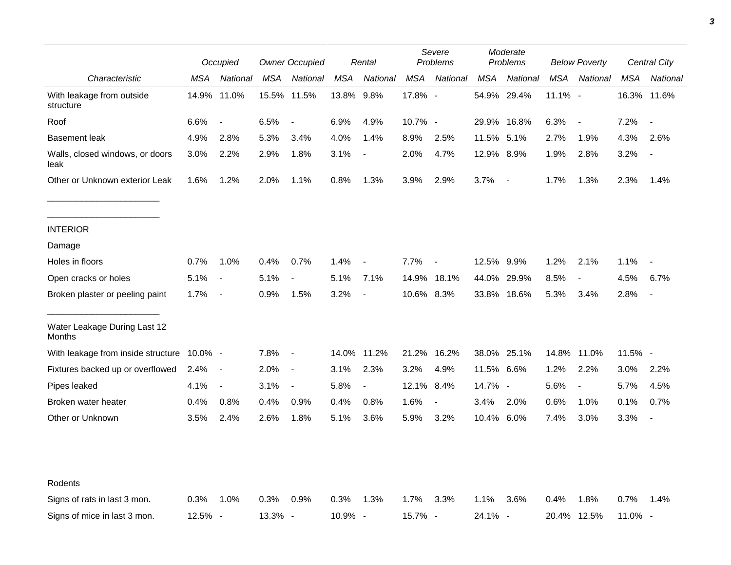|                                         |            | Occupied                 |         | <b>Owner Occupied</b>    |            | Rental                   |            | Severe<br>Problems       |            | Moderate<br>Problems     |             | <b>Below Poverty</b>     |             | Central City             |  |
|-----------------------------------------|------------|--------------------------|---------|--------------------------|------------|--------------------------|------------|--------------------------|------------|--------------------------|-------------|--------------------------|-------------|--------------------------|--|
| Characteristic                          | MSA        | National                 | MSA     | National                 | MSA        | National                 | <b>MSA</b> | National                 | MSA        | National                 | <b>MSA</b>  | National                 | MSA         | National                 |  |
| With leakage from outside<br>structure  | 14.9%      | 11.0%                    |         | 15.5% 11.5%              | 13.8% 9.8% |                          | 17.8% -    |                          |            | 54.9% 29.4%              | 11.1% -     |                          | 16.3% 11.6% |                          |  |
| Roof                                    | 6.6%       | $\overline{\phantom{a}}$ | 6.5%    | $\blacksquare$           | 6.9%       | 4.9%                     | 10.7% -    |                          |            | 29.9% 16.8%              | 6.3%        | $\blacksquare$           | 7.2%        | $\blacksquare$           |  |
| <b>Basement leak</b>                    | 4.9%       | 2.8%                     | 5.3%    | 3.4%                     | 4.0%       | 1.4%                     | 8.9%       | 2.5%                     | 11.5% 5.1% |                          | 2.7%        | 1.9%                     | 4.3%        | 2.6%                     |  |
| Walls, closed windows, or doors<br>leak | 3.0%       | 2.2%                     | 2.9%    | 1.8%                     | 3.1%       | $\overline{\phantom{a}}$ | 2.0%       | 4.7%                     | 12.9% 8.9% |                          | 1.9%        | 2.8%                     | 3.2%        |                          |  |
| Other or Unknown exterior Leak          | 1.6%       | 1.2%                     | 2.0%    | 1.1%                     | 0.8%       | 1.3%                     | 3.9%       | 2.9%                     | 3.7%       | $\overline{\phantom{a}}$ | 1.7%        | 1.3%                     | 2.3%        | 1.4%                     |  |
| <b>INTERIOR</b>                         |            |                          |         |                          |            |                          |            |                          |            |                          |             |                          |             |                          |  |
| Damage                                  |            |                          |         |                          |            |                          |            |                          |            |                          |             |                          |             |                          |  |
| Holes in floors                         | 0.7%       | 1.0%                     | 0.4%    | 0.7%                     | 1.4%       | $\overline{\phantom{a}}$ | 7.7%       | $\overline{\phantom{a}}$ | 12.5% 9.9% |                          | 1.2%        | 2.1%                     | 1.1%        |                          |  |
| Open cracks or holes                    | 5.1%       | $\blacksquare$           | 5.1%    | $\overline{\phantom{a}}$ | 5.1%       | 7.1%                     |            | 14.9% 18.1%              | 44.0%      | 29.9%                    | 8.5%        | $\overline{\phantom{a}}$ | 4.5%        | 6.7%                     |  |
| Broken plaster or peeling paint         | 1.7%       | $\sim$                   | 0.9%    | 1.5%                     | 3.2%       | $\overline{\phantom{a}}$ | 10.6% 8.3% |                          |            | 33.8% 18.6%              | 5.3%        | 3.4%                     | 2.8%        |                          |  |
| Water Leakage During Last 12<br>Months  |            |                          |         |                          |            |                          |            |                          |            |                          |             |                          |             |                          |  |
| With leakage from inside structure      | $10.0\%$ - |                          | 7.8%    | $\overline{\phantom{a}}$ |            | 14.0% 11.2%              | 21.2%      | 16.2%                    |            | 38.0% 25.1%              | 14.8% 11.0% |                          | $11.5%$ -   |                          |  |
| Fixtures backed up or overflowed        | 2.4%       | $\sim$                   | 2.0%    | $\overline{\phantom{a}}$ | 3.1%       | 2.3%                     | 3.2%       | 4.9%                     | 11.5% 6.6% |                          | 1.2%        | 2.2%                     | 3.0%        | 2.2%                     |  |
| Pipes leaked                            | 4.1%       | $\overline{\phantom{a}}$ | 3.1%    | $\blacksquare$           | 5.8%       | $\overline{\phantom{a}}$ | 12.1% 8.4% |                          | 14.7% -    |                          | 5.6%        | $\overline{\phantom{a}}$ | 5.7%        | 4.5%                     |  |
| Broken water heater                     | 0.4%       | 0.8%                     | 0.4%    | 0.9%                     | 0.4%       | 0.8%                     | 1.6%       | $\overline{\phantom{a}}$ | 3.4%       | 2.0%                     | 0.6%        | 1.0%                     | 0.1%        | 0.7%                     |  |
| Other or Unknown                        | 3.5%       | 2.4%                     | 2.6%    | 1.8%                     | 5.1%       | 3.6%                     | 5.9%       | 3.2%                     | 10.4% 6.0% |                          | 7.4%        | 3.0%                     | 3.3%        | $\overline{\phantom{a}}$ |  |
|                                         |            |                          |         |                          |            |                          |            |                          |            |                          |             |                          |             |                          |  |
| Rodents                                 |            |                          |         |                          |            |                          |            |                          |            |                          |             |                          |             |                          |  |
| Signs of rats in last 3 mon.            | 0.3%       | 1.0%                     | 0.3%    | 0.9%                     | 0.3%       | 1.3%                     | 1.7%       | 3.3%                     | 1.1%       | 3.6%                     | 0.4%        | 1.8%                     | 0.7%        | 1.4%                     |  |
| Signs of mice in last 3 mon.            | 12.5% -    |                          | 13.3% - |                          | 10.9% -    |                          | 15.7% -    |                          | 24.1% -    |                          | 20.4% 12.5% |                          | $11.0\%$ -  |                          |  |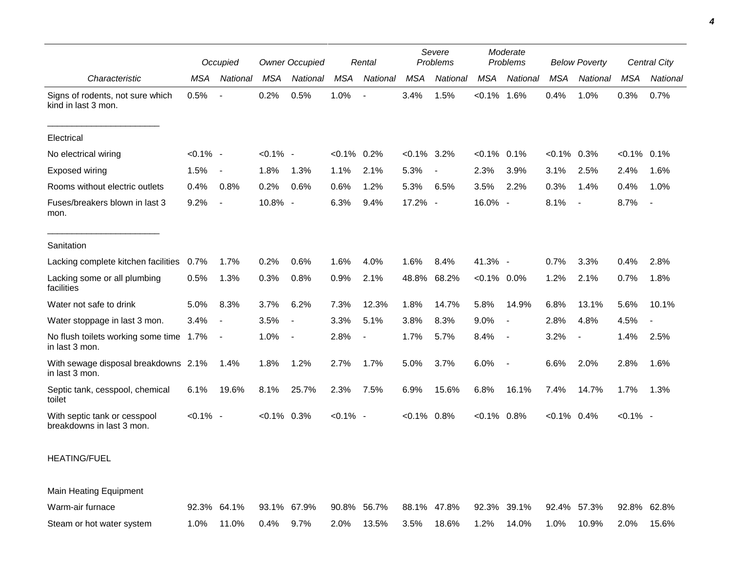|                                                           |             | Occupied                 |                | <b>Owner Occupied</b>    |                | Rental                   |                | Severe<br>Problems       |                | Moderate<br>Problems     |                | <b>Below Poverty</b>     |                | Central City |
|-----------------------------------------------------------|-------------|--------------------------|----------------|--------------------------|----------------|--------------------------|----------------|--------------------------|----------------|--------------------------|----------------|--------------------------|----------------|--------------|
| Characteristic                                            | MSA         | National                 | MSA            | National                 | <b>MSA</b>     | National                 | MSA            | National                 | <b>MSA</b>     | National                 | MSA            | National                 | <b>MSA</b>     | National     |
| Signs of rodents, not sure which<br>kind in last 3 mon.   | 0.5%        | $\overline{\phantom{a}}$ | 0.2%           | 0.5%                     | 1.0%           | $\overline{\phantom{a}}$ | 3.4%           | 1.5%                     | $< 0.1\%$ 1.6% |                          | 0.4%           | 1.0%                     | 0.3%           | 0.7%         |
| Electrical                                                |             |                          |                |                          |                |                          |                |                          |                |                          |                |                          |                |              |
| No electrical wiring                                      | $< 0.1\%$ - |                          | $< 0.1\%$ -    |                          | $< 0.1\%$ 0.2% |                          | $< 0.1\%$ 3.2% |                          | $< 0.1\%$      | 0.1%                     | $< 0.1\%$      | 0.3%                     | $< 0.1\%$ 0.1% |              |
| Exposed wiring                                            | 1.5%        | $\overline{\phantom{a}}$ | 1.8%           | 1.3%                     | 1.1%           | 2.1%                     | 5.3%           | $\overline{\phantom{a}}$ | 2.3%           | 3.9%                     | 3.1%           | 2.5%                     | 2.4%           | 1.6%         |
| Rooms without electric outlets                            | 0.4%        | 0.8%                     | 0.2%           | 0.6%                     | 0.6%           | 1.2%                     | 5.3%           | 6.5%                     | 3.5%           | 2.2%                     | 0.3%           | 1.4%                     | 0.4%           | 1.0%         |
| Fuses/breakers blown in last 3<br>mon.                    | 9.2%        | $\overline{\phantom{a}}$ | 10.8% -        |                          | 6.3%           | 9.4%                     | 17.2% -        |                          | 16.0% -        |                          | 8.1%           | $\overline{\phantom{a}}$ | 8.7%           | $\sim$       |
| Sanitation                                                |             |                          |                |                          |                |                          |                |                          |                |                          |                |                          |                |              |
| Lacking complete kitchen facilities                       | 0.7%        | 1.7%                     | 0.2%           | 0.6%                     | 1.6%           | 4.0%                     | 1.6%           | 8.4%                     | 41.3% -        |                          | 0.7%           | 3.3%                     | 0.4%           | 2.8%         |
| Lacking some or all plumbing<br>facilities                | 0.5%        | 1.3%                     | 0.3%           | 0.8%                     | 0.9%           | 2.1%                     | 48.8%          | 68.2%                    | $<0.1\%$ 0.0%  |                          | 1.2%           | 2.1%                     | 0.7%           | 1.8%         |
| Water not safe to drink                                   | 5.0%        | 8.3%                     | 3.7%           | 6.2%                     | 7.3%           | 12.3%                    | 1.8%           | 14.7%                    | 5.8%           | 14.9%                    | 6.8%           | 13.1%                    | 5.6%           | 10.1%        |
| Water stoppage in last 3 mon.                             | 3.4%        | $\blacksquare$           | 3.5%           | $\overline{\phantom{a}}$ | 3.3%           | 5.1%                     | 3.8%           | 8.3%                     | 9.0%           |                          | 2.8%           | 4.8%                     | 4.5%           |              |
| No flush toilets working some time 1.7%<br>in last 3 mon. |             | $\overline{\phantom{a}}$ | 1.0%           | $\sim$                   | 2.8%           | $\blacksquare$           | 1.7%           | 5.7%                     | 8.4%           | $\overline{\phantom{a}}$ | 3.2%           | $\overline{\phantom{a}}$ | 1.4%           | 2.5%         |
| With sewage disposal breakdowns 2.1%<br>in last 3 mon.    |             | 1.4%                     | 1.8%           | 1.2%                     | 2.7%           | 1.7%                     | 5.0%           | 3.7%                     | 6.0%           | $\overline{\phantom{a}}$ | 6.6%           | 2.0%                     | 2.8%           | 1.6%         |
| Septic tank, cesspool, chemical<br>toilet                 | 6.1%        | 19.6%                    | 8.1%           | 25.7%                    | 2.3%           | 7.5%                     | 6.9%           | 15.6%                    | 6.8%           | 16.1%                    | 7.4%           | 14.7%                    | 1.7%           | 1.3%         |
| With septic tank or cesspool<br>breakdowns in last 3 mon. | $< 0.1\%$ - |                          | $< 0.1\%$ 0.3% |                          | $< 0.1\%$ -    |                          | $< 0.1\%$ 0.8% |                          | $< 0.1\%$ 0.8% |                          | $< 0.1\%$ 0.4% |                          | $< 0.1\%$ -    |              |
|                                                           |             |                          |                |                          |                |                          |                |                          |                |                          |                |                          |                |              |

## HEATING/FUEL

Main Heating Equipment Warm-air furnace 92.3% 64.1% 93.1% 67.9% 90.8% 56.7% 88.1% 47.8% 92.3% 39.1% 92.4% 57.3% 92.8% 62.8% Steam or hot water system 1.0% 11.0% 0.4% 9.7% 2.0% 13.5% 3.5% 18.6% 1.2% 14.0% 1.0% 10.9% 2.0% 15.6%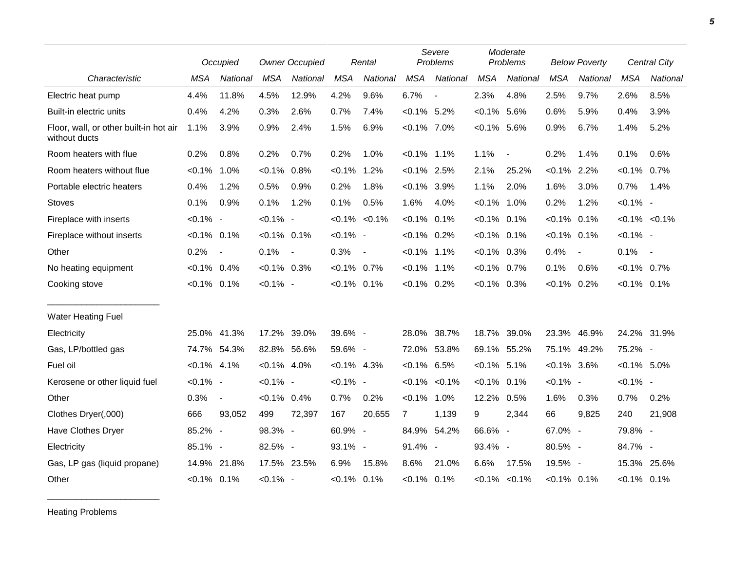|                                                         |                | Occupied                 | <b>Owner Occupied</b> |            |                | Rental                   |                   | Severe<br>Problems       |                | Moderate<br>Problems |                | <b>Below Poverty</b>     |                | Central City      |
|---------------------------------------------------------|----------------|--------------------------|-----------------------|------------|----------------|--------------------------|-------------------|--------------------------|----------------|----------------------|----------------|--------------------------|----------------|-------------------|
| Characteristic                                          | <b>MSA</b>     | National                 | <b>MSA</b>            | National   | <b>MSA</b>     | National                 | <b>MSA</b>        | National                 | <b>MSA</b>     | National             | <b>MSA</b>     | National                 | <b>MSA</b>     | <b>National</b>   |
| Electric heat pump                                      | 4.4%           | 11.8%                    | 4.5%                  | 12.9%      | 4.2%           | 9.6%                     | 6.7%              | $\overline{\phantom{a}}$ | 2.3%           | 4.8%                 | 2.5%           | 9.7%                     | 2.6%           | 8.5%              |
| Built-in electric units                                 | 0.4%           | 4.2%                     | 0.3%                  | 2.6%       | 0.7%           | 7.4%                     | $< 0.1\%$ 5.2%    |                          | $< 0.1\%$      | 5.6%                 | 0.6%           | 5.9%                     | 0.4%           | 3.9%              |
| Floor, wall, or other built-in hot air<br>without ducts | 1.1%           | 3.9%                     | 0.9%                  | 2.4%       | 1.5%           | 6.9%                     | $< 0.1\%$ 7.0%    |                          | $<0.1\%$ 5.6%  |                      | 0.9%           | 6.7%                     | 1.4%           | 5.2%              |
| Room heaters with flue                                  | 0.2%           | 0.8%                     | 0.2%                  | 0.7%       | 0.2%           | 1.0%                     | $< 0.1\%$ 1.1%    |                          | 1.1%           | $\blacksquare$       | 0.2%           | 1.4%                     | 0.1%           | 0.6%              |
| Room heaters without flue                               | $< 0.1\%$ 1.0% |                          | $< 0.1\%$             | 0.8%       | $< 0.1\%$      | 1.2%                     | $< 0.1\%$ 2.5%    |                          | 2.1%           | 25.2%                | $< 0.1\%$ 2.2% |                          | $< 0.1\%$ 0.7% |                   |
| Portable electric heaters                               | 0.4%           | 1.2%                     | 0.5%                  | 0.9%       | 0.2%           | 1.8%                     | $< 0.1\%$ 3.9%    |                          | 1.1%           | 2.0%                 | 1.6%           | 3.0%                     | 0.7%           | 1.4%              |
| <b>Stoves</b>                                           | 0.1%           | 0.9%                     | 0.1%                  | 1.2%       | 0.1%           | 0.5%                     | 1.6%              | 4.0%                     | $< 0.1\%$ 1.0% |                      | 0.2%           | 1.2%                     | $< 0.1\%$ -    |                   |
| Fireplace with inserts                                  | $< 0.1\%$ -    |                          | $< 0.1\%$ -           |            |                | $< 0.1\%$ $< 0.1\%$      | $< 0.1\%$ 0.1%    |                          | $< 0.1\%$      | 0.1%                 | $< 0.1\%$      | 0.1%                     |                | $< 0.1\% < 0.1\%$ |
| Fireplace without inserts                               | $< 0.1\%$ 0.1% |                          | $< 0.1\%$ 0.1%        |            | $< 0.1\%$ -    |                          | $< 0.1\%$ 0.2%    |                          | $< 0.1\%$ 0.1% |                      | $< 0.1\%$ 0.1% |                          | $< 0.1\%$ -    |                   |
| Other                                                   | 0.2%           | $\overline{\phantom{a}}$ | 0.1%                  | $\sim$ $-$ | 0.3%           | $\overline{\phantom{a}}$ | $< 0.1\%$ 1.1%    |                          | $< 0.1\%$ 0.3% |                      | 0.4%           | $\overline{\phantom{a}}$ | 0.1%           | $\sim$            |
| No heating equipment                                    | $< 0.1\%$ 0.4% |                          | $< 0.1\%$ 0.3%        |            | $< 0.1\%$ 0.7% |                          | $< 0.1\%$ 1.1%    |                          | $< 0.1\%$ 0.7% |                      | 0.1%           | 0.6%                     | $< 0.1\%$ 0.7% |                   |
| Cooking stove                                           | $< 0.1\%$ 0.1% |                          | $< 0.1\%$ -           |            | $< 0.1\%$ 0.1% |                          | $< 0.1\%$ 0.2%    |                          | $<0.1\%$ 0.3%  |                      | $< 0.1\%$ 0.2% |                          | $< 0.1\%$ 0.1% |                   |
| <b>Water Heating Fuel</b>                               |                |                          |                       |            |                |                          |                   |                          |                |                      |                |                          |                |                   |
| Electricity                                             | 25.0%          | 41.3%                    | 17.2%                 | 39.0%      | 39.6% -        |                          | 28.0%             | 38.7%                    | 18.7%          | 39.0%                | 23.3%          | 46.9%                    |                | 24.2% 31.9%       |
| Gas, LP/bottled gas                                     | 74.7%          | 54.3%                    | 82.8% 56.6%           |            | 59.6% -        |                          | 72.0%             | 53.8%                    | 69.1% 55.2%    |                      | 75.1%          | 49.2%                    | 75.2% -        |                   |
| Fuel oil                                                | $< 0.1\%$ 4.1% |                          | $< 0.1\%$ 4.0%        |            | $< 0.1\%$ 4.3% |                          | $< 0.1\%$ 6.5%    |                          | $< 0.1\%$ 5.1% |                      | $< 0.1\%$ 3.6% |                          | $< 0.1\%$ 5.0% |                   |
| Kerosene or other liquid fuel                           | $< 0.1\%$ -    |                          | $< 0.1\%$ -           |            | $< 0.1\%$ -    |                          | $< 0.1\% < 0.1\%$ |                          | $< 0.1\%$ 0.1% |                      | $< 0.1\%$ -    |                          | $< 0.1\%$ -    |                   |
| Other                                                   | 0.3%           | $\blacksquare$           | $< 0.1\%$ 0.4%        |            | 0.7%           | 0.2%                     | $< 0.1\%$ 1.0%    |                          | 12.2%          | 0.5%                 | 1.6%           | 0.3%                     | 0.7%           | 0.2%              |
| Clothes Dryer(,000)                                     | 666            | 93,052                   | 499                   | 72,397     | 167            | 20,655                   | $\overline{7}$    | 1,139                    | 9              | 2,344                | 66             | 9,825                    | 240            | 21,908            |
| Have Clothes Dryer                                      | 85.2% -        |                          | 98.3% -               |            | 60.9% -        |                          | 84.9% 54.2%       |                          | 66.6% -        |                      | 67.0% -        |                          | 79.8% -        |                   |
| Electricity                                             | 85.1% -        |                          | 82.5% -               |            | 93.1% -        |                          | 91.4% -           |                          | 93.4% -        |                      | 80.5% -        |                          | 84.7% -        |                   |
| Gas, LP gas (liquid propane)                            | 14.9%          | 21.8%                    | 17.5% 23.5%           |            | 6.9%           | 15.8%                    | 8.6%              | 21.0%                    | 6.6%           | 17.5%                | 19.5% -        |                          | 15.3%          | 25.6%             |
| Other                                                   | $< 0.1\%$ 0.1% |                          | $< 0.1\%$ -           |            | $< 0.1\%$ 0.1% |                          | $< 0.1\%$ 0.1%    |                          |                | $< 0.1\%$ $< 0.1\%$  | $< 0.1\%$ 0.1% |                          | $< 0.1\%$ 0.1% |                   |

Heating Problems

\_\_\_\_\_\_\_\_\_\_\_\_\_\_\_\_\_\_\_\_\_\_\_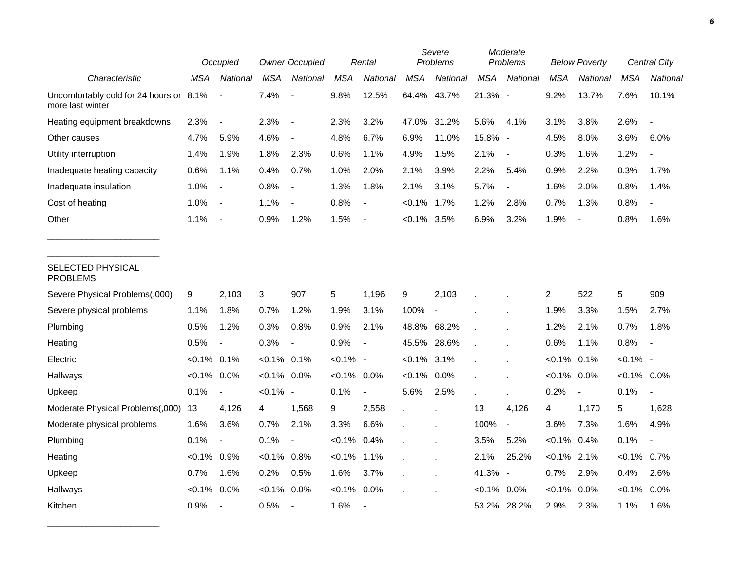|                                                             | Occupied       |                          | <b>Owner Occupied</b> |                          | Rental         |                          | Severe<br>Problems |                | Moderate<br>Problems |                          | <b>Below Poverty</b> |                          | Central City   |                |
|-------------------------------------------------------------|----------------|--------------------------|-----------------------|--------------------------|----------------|--------------------------|--------------------|----------------|----------------------|--------------------------|----------------------|--------------------------|----------------|----------------|
| Characteristic                                              | MSA            | National                 | <b>MSA</b>            | National                 | <b>MSA</b>     | National                 | <b>MSA</b>         | National       | <b>MSA</b>           | National                 | MSA                  | National                 | <b>MSA</b>     | National       |
| Uncomfortably cold for 24 hours or 8.1%<br>more last winter |                | $\overline{\phantom{a}}$ | 7.4%                  |                          | 9.8%           | 12.5%                    | 64.4% 43.7%        |                | 21.3% -              |                          | 9.2%                 | 13.7%                    | 7.6%           | 10.1%          |
| Heating equipment breakdowns                                | 2.3%           | $\blacksquare$           | 2.3%                  |                          | 2.3%           | 3.2%                     | 47.0%              | 31.2%          | 5.6%                 | 4.1%                     | 3.1%                 | 3.8%                     | 2.6%           | $\blacksquare$ |
| Other causes                                                | 4.7%           | 5.9%                     | 4.6%                  |                          | 4.8%           | 6.7%                     | 6.9%               | 11.0%          | 15.8% -              |                          | 4.5%                 | 8.0%                     | 3.6%           | 6.0%           |
| Utility interruption                                        | 1.4%           | 1.9%                     | 1.8%                  | 2.3%                     | 0.6%           | 1.1%                     | 4.9%               | 1.5%           | 2.1%                 | $\overline{\phantom{a}}$ | 0.3%                 | 1.6%                     | 1.2%           |                |
| Inadequate heating capacity                                 | 0.6%           | 1.1%                     | 0.4%                  | 0.7%                     | 1.0%           | 2.0%                     | 2.1%               | 3.9%           | 2.2%                 | 5.4%                     | 0.9%                 | 2.2%                     | 0.3%           | 1.7%           |
| Inadequate insulation                                       | 1.0%           | $\blacksquare$           | 0.8%                  | $\overline{\phantom{a}}$ | 1.3%           | 1.8%                     | 2.1%               | 3.1%           | 5.7%                 | $\blacksquare$           | 1.6%                 | 2.0%                     | 0.8%           | 1.4%           |
| Cost of heating                                             | 1.0%           | $\overline{\phantom{a}}$ | 1.1%                  |                          | 0.8%           | $\blacksquare$           | $< 0.1\%$          | $1.7\%$        | 1.2%                 | 2.8%                     | 0.7%                 | 1.3%                     | 0.8%           |                |
| Other                                                       | 1.1%           | $\overline{\phantom{a}}$ | 0.9%                  | 1.2%                     | 1.5%           |                          | $< 0.1\%$ 3.5%     |                | 6.9%                 | 3.2%                     | 1.9%                 | $\overline{\phantom{a}}$ | 0.8%           | 1.6%           |
| SELECTED PHYSICAL<br><b>PROBLEMS</b>                        |                |                          |                       |                          |                |                          |                    |                |                      |                          |                      |                          |                |                |
| Severe Physical Problems(,000)                              | 9              | 2,103                    | 3                     | 907                      | 5              | 1,196                    | 9                  | 2,103          |                      |                          | 2                    | 522                      | 5              | 909            |
| Severe physical problems                                    | 1.1%           | 1.8%                     | 0.7%                  | 1.2%                     | 1.9%           | 3.1%                     | 100%               | $\blacksquare$ |                      |                          | 1.9%                 | 3.3%                     | 1.5%           | 2.7%           |
| Plumbing                                                    | 0.5%           | 1.2%                     | 0.3%                  | 0.8%                     | 0.9%           | 2.1%                     | 48.8% 68.2%        |                |                      |                          | 1.2%                 | 2.1%                     | 0.7%           | 1.8%           |
| Heating                                                     | 0.5%           | $\overline{\phantom{a}}$ | 0.3%                  | $\blacksquare$           | 0.9%           | $\overline{\phantom{a}}$ | 45.5%              | 28.6%          |                      |                          | 0.6%                 | 1.1%                     | 0.8%           | $\blacksquare$ |
| Electric                                                    | $< 0.1\%$ 0.1% |                          | $< 0.1\%$ 0.1%        |                          | $< 0.1\%$ -    |                          | $< 0.1\%$ 3.1%     |                |                      |                          | $< 0.1\%$            | 0.1%                     | $< 0.1\%$ -    |                |
| Hallways                                                    | $< 0.1\%$      | $0.0\%$                  | $< 0.1\%$             | 0.0%                     | $< 0.1\%$ 0.0% |                          | $< 0.1\%$          | 0.0%           |                      |                          | $< 0.1\%$            | 0.0%                     | $< 0.1\%$ 0.0% |                |
| Upkeep                                                      | 0.1%           | $\blacksquare$           | $< 0.1\%$ -           |                          | 0.1%           | $\blacksquare$           | 5.6%               | 2.5%           |                      |                          | 0.2%                 | $\overline{\phantom{a}}$ | 0.1%           |                |
| Moderate Physical Problems(,000)                            | 13             | 4,126                    | 4                     | 1,568                    | 9              | 2,558                    |                    |                | 13                   | 4,126                    | 4                    | 1,170                    | 5              | 1,628          |
| Moderate physical problems                                  | 1.6%           | 3.6%                     | 0.7%                  | 2.1%                     | 3.3%           | 6.6%                     |                    |                | 100%                 | $\overline{\phantom{a}}$ | 3.6%                 | 7.3%                     | 1.6%           | 4.9%           |
| Plumbing                                                    | 0.1%           | $\blacksquare$           | 0.1%                  |                          | $< 0.1\%$      | 0.4%                     |                    |                | 3.5%                 | 5.2%                     | $< 0.1\%$ 0.4%       |                          | 0.1%           |                |
| Heating                                                     | $< 0.1\%$ 0.9% |                          | $< 0.1\%$             | 0.8%                     | $< 0.1\%$      | 1.1%                     |                    |                | 2.1%                 | 25.2%                    | $< 0.1\%$ 2.1%       |                          | $< 0.1\%$      | 0.7%           |
| Upkeep                                                      | 0.7%           | 1.6%                     | 0.2%                  | 0.5%                     | 1.6%           | 3.7%                     |                    |                | 41.3% -              |                          | 0.7%                 | 2.9%                     | 0.4%           | 2.6%           |
| Hallways                                                    | $<0.1\%$       | 0.0%                     | $< 0.1\%$             | 0.0%                     | $< 0.1\%$      | 0.0%                     |                    |                | $< 0.1\%$ 0.0%       |                          | $< 0.1\%$            | 0.0%                     | $< 0.1\%$      | $0.0\%$        |
| Kitchen                                                     | 0.9%           | $\overline{\phantom{a}}$ | 0.5%                  |                          | 1.6%           | $\overline{\phantom{a}}$ |                    |                | 53.2% 28.2%          |                          | 2.9%                 | 2.3%                     | 1.1%           | 1.6%           |

\_\_\_\_\_\_\_\_\_\_\_\_\_\_\_\_\_\_\_\_\_\_\_